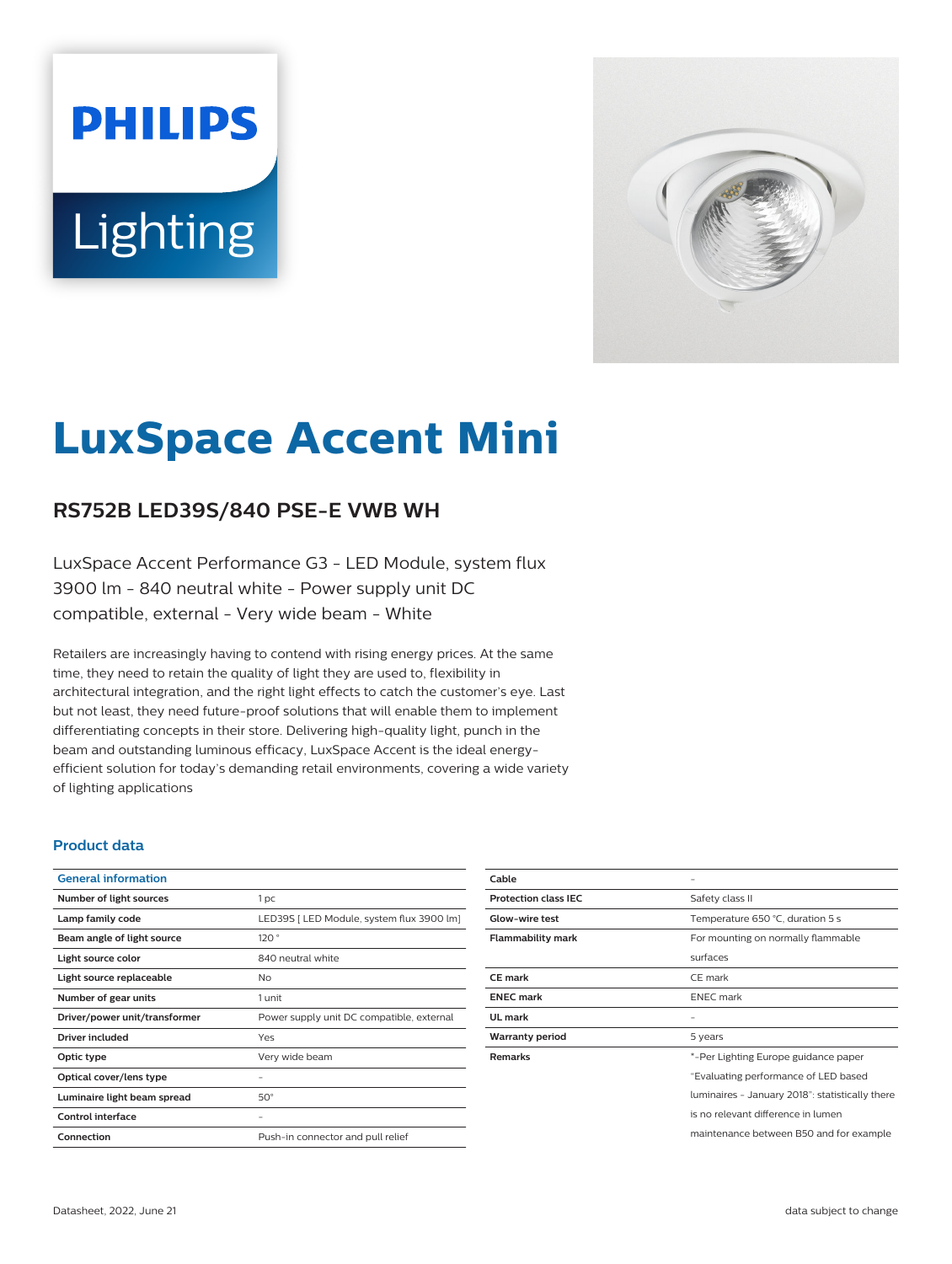# **PHILIPS Lighting**



## **LuxSpace Accent Mini**

#### **RS752B LED39S/840 PSE-E VWB WH**

LuxSpace Accent Performance G3 - LED Module, system flux 3900 lm - 840 neutral white - Power supply unit DC compatible, external - Very wide beam - White

Retailers are increasingly having to contend with rising energy prices. At the same time, they need to retain the quality of light they are used to, flexibility in architectural integration, and the right light effects to catch the customer's eye. Last but not least, they need future-proof solutions that will enable them to implement differentiating concepts in their store. Delivering high-quality light, punch in the beam and outstanding luminous efficacy, LuxSpace Accent is the ideal energyefficient solution for today's demanding retail environments, covering a wide variety of lighting applications

#### **Product data**

| 1 <sub>pc</sub>                           |
|-------------------------------------------|
| LED39S   LED Module, system flux 3900 lm] |
| 120°                                      |
| 840 neutral white                         |
| No                                        |
| 1 unit                                    |
| Power supply unit DC compatible, external |
| Yes                                       |
| Very wide beam                            |
|                                           |
| $50^\circ$                                |
|                                           |
| Push-in connector and pull relief         |
|                                           |

| Cable                       |                                                 |
|-----------------------------|-------------------------------------------------|
| <b>Protection class IEC</b> | Safety class II                                 |
| Glow-wire test              | Temperature 650 °C, duration 5 s                |
| <b>Flammability mark</b>    | For mounting on normally flammable              |
|                             | surfaces                                        |
| <b>CE</b> mark              | CE mark                                         |
| <b>ENEC mark</b>            | <b>ENEC</b> mark                                |
| UL mark                     |                                                 |
| <b>Warranty period</b>      | 5 years                                         |
| <b>Remarks</b>              | *-Per Lighting Europe guidance paper            |
|                             | "Evaluating performance of LED based            |
|                             | luminaires - January 2018": statistically there |
|                             | is no relevant difference in lumen              |
|                             | maintenance between B50 and for example         |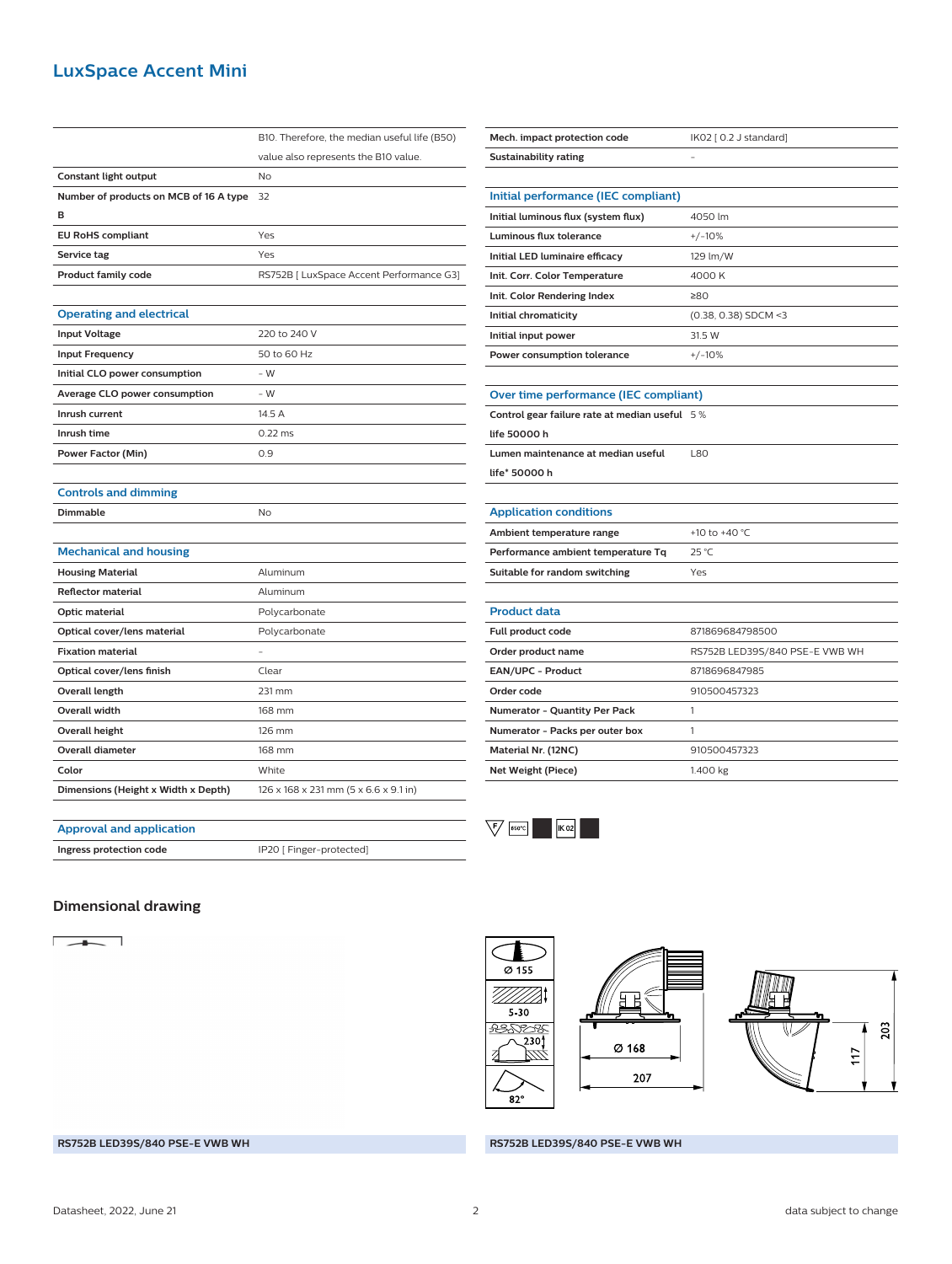#### **LuxSpace Accent Mini**

|                                        | B10. Therefore, the median useful life (B50) |
|----------------------------------------|----------------------------------------------|
|                                        | value also represents the B10 value.         |
| Constant light output                  | No                                           |
| Number of products on MCB of 16 A type | 32                                           |
| в                                      |                                              |
| <b>EU RoHS compliant</b>               | Yes                                          |
| Service tag                            | Yes                                          |
| <b>Product family code</b>             | RS752B [ LuxSpace Accent Performance G3]     |
|                                        |                                              |
| <b>Operating and electrical</b>        |                                              |
| <b>Input Voltage</b>                   | 220 to 240 V                                 |
| <b>Input Frequency</b>                 | 50 to 60 Hz                                  |
| Initial CLO power consumption          | $-W$                                         |
| Average CLO power consumption          | $-W$                                         |
| Inrush current                         | 14.5 A                                       |
| Inrush time                            | $0.22$ ms                                    |
| <b>Power Factor (Min)</b>              | 0.9                                          |
|                                        |                                              |
| <b>Controls and dimming</b>            |                                              |
| <b>Dimmable</b>                        | No                                           |
|                                        |                                              |
| <b>Mechanical and housing</b>          |                                              |
| <b>Housing Material</b>                | Aluminum                                     |
| <b>Reflector material</b>              | Aluminum                                     |
| Optic material                         | Polycarbonate                                |
| Optical cover/lens material            | Polycarbonate                                |
| <b>Fixation material</b>               |                                              |
| Optical cover/lens finish              | Clear                                        |
| <b>Overall length</b>                  | 231 mm                                       |
| <b>Overall width</b>                   | 168 mm                                       |
| <b>Overall height</b>                  | 126 mm                                       |
| <b>Overall diameter</b>                | 168 mm                                       |
|                                        |                                              |
| Color                                  | White                                        |

| Mech. impact protection code                  | IK02 [ 0.2 J standard]         |  |
|-----------------------------------------------|--------------------------------|--|
| <b>Sustainability rating</b>                  |                                |  |
|                                               |                                |  |
| Initial performance (IEC compliant)           |                                |  |
| Initial luminous flux (system flux)           | 4050 lm                        |  |
| <b>Luminous flux tolerance</b>                | $+/-10%$                       |  |
| Initial LED luminaire efficacy                | 129 lm/W                       |  |
| Init. Corr. Color Temperature                 | 4000 K                         |  |
| Init. Color Rendering Index                   | ≥80                            |  |
| Initial chromaticity                          | (0.38, 0.38) SDCM <3           |  |
| Initial input power                           | 31.5 W                         |  |
| Power consumption tolerance                   | $+/-10%$                       |  |
|                                               |                                |  |
| Over time performance (IEC compliant)         |                                |  |
| Control gear failure rate at median useful 5% |                                |  |
| life 50000 h                                  |                                |  |
| Lumen maintenance at median useful            | L80                            |  |
| life* 50000 h                                 |                                |  |
|                                               |                                |  |
| <b>Application conditions</b>                 |                                |  |
| Ambient temperature range                     | +10 to +40 °C                  |  |
| Performance ambient temperature Tq            | 25 °C                          |  |
| Suitable for random switching                 | Yes                            |  |
|                                               |                                |  |
| <b>Product data</b>                           |                                |  |
| <b>Full product code</b>                      | 871869684798500                |  |
| Order product name                            | RS752B LED39S/840 PSE-E VWB WH |  |
| EAN/UPC - Product                             | 8718696847985                  |  |
| Order code                                    | 910500457323                   |  |
| <b>Numerator - Quantity Per Pack</b>          | 1                              |  |
| Numerator - Packs per outer box               | 1                              |  |
| Material Nr. (12NC)                           | 910500457323                   |  |
| <b>Net Weight (Piece)</b>                     | 1.400 kg                       |  |
|                                               |                                |  |



### **Dimensional drawing**

**Approval and application**

**Ingress protection code IP20** [ Finger-protected]

 $\begin{array}{c|c|c|c|c} \hline \multicolumn{1}{c|}{\textbf{1}} & \multicolumn{1}{c|}{\textbf{1}} \\ \hline \multicolumn{1}{c|}{\textbf{1}} & \multicolumn{1}{c|}{\textbf{1}} \\ \hline \multicolumn{1}{c|}{\textbf{1}} & \multicolumn{1}{c|}{\textbf{1}} \\ \hline \multicolumn{1}{c|}{\textbf{1}} & \multicolumn{1}{c|}{\textbf{1}} \\ \hline \multicolumn{1}{c|}{\textbf{1}} & \multicolumn{1}{c|}{\textbf{1}} \\ \hline \multicolumn{1}{c|}{\textbf{1}} &$ 

 $\overline{\varnothing}$  155 WWW. 표  $5 - 30$ <del>1</del><br>180781 230 Ø 168 ind, 207  $82^\circ$ 



#### **RS752B LED39S/840 PSE-E VWB WH RS752B LED39S/840 PSE-E VWB WH**